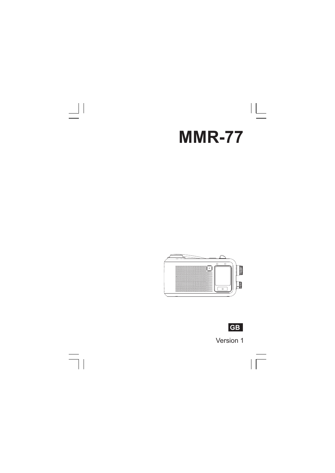

 $\frac{1}{2}$ 

 $\overline{\neg}$ 





 $\sqrt{\frac{1}{\sqrt{2}}}$ 

Version 1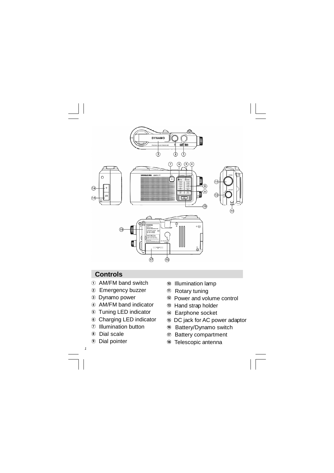

# **Controls**

- AM/FM band switch
- Emergency buzzer
- Dynamo power
- AM/FM band indicator
- Tuning LED indicator
- Charging LED indicator
- Illumination button
- Dial scale
- Dial pointer

- Illumination lamp
- Rotary tuning
- Power and volume control
- Hand strap holder
- Earphone socket
- DC jack for AC power adaptor
- <sup>16</sup> Battery/Dynamo switch
- Battery compartment
- Telescopic antenna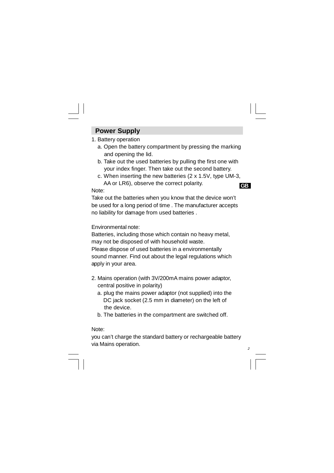# **Power Supply**

## 1. Battery operation

- a. Open the battery compartment by pressing the marking and opening the lid.
- b. Take out the used batteries by pulling the first one with your index finger. Then take out the second battery.
- c. When inserting the new batteries (2 x 1.5V, type UM-3, AA or LR6), observe the correct polarity.

#### **GB**

*2*

#### Note:

Take out the batteries when you know that the device won't be used for a long period of time . The manufacturer accepts no liability for damage from used batteries .

### Environmental note:

Batteries, including those which contain no heavy metal, may not be disposed of with household waste. Please dispose of used batteries in a environmentally sound manner. Find out about the legal regulations which apply in your area.

- 2. Mains operation (with 3V/200mA mains power adaptor, central positive in polarity)
	- a. plug the mains power adaptor (not supplied) into the DC jack socket (2.5 mm in diameter) on the left of the device.
	- b. The batteries in the compartment are switched off.

#### Note:

you can't charge the standard battery or rechargeable battery via Mains operation.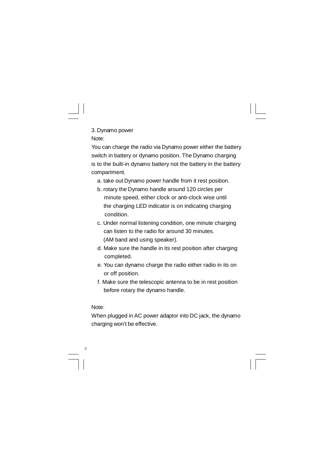3. Dynamo power Note:

You can charge the radio via Dynamo power either the battery switch in battery or dynamo position. The Dynamo charging is to the built-in dynamo battery not the battery in the battery compartment.

- a. take out Dynamo power handle from it rest position.
- b. rotary the Dynamo handle around 120 circles per minute speed, either clock or anti-clock wise until the charging LED indicator is on indicating charging condition.
- c. Under normal listening condition, one minute charging can listen to the radio for around 30 minutes. (AM band and using speaker).
- d. Make sure the handle in its rest position after charging completed.
- e. You can dynamo charge the radio either radio in its on or off position.
- f. Make sure the telescopic antenna to be in rest position before rotary the dynamo handle.

# Note:

*3*

When plugged in AC power adaptor into DC jack, the dynamo charging won't be effective.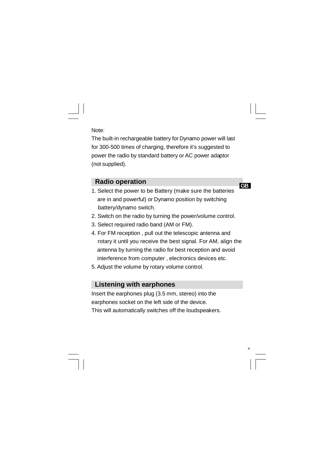## Note:

The built-in rechargeable battery for Dynamo power will last for 300-500 times of charging, therefore it's suggested to power the radio by standard battery or AC power adaptor (not supplied).

## **Radio operation**

**GB**

*4*

- 1. Select the power to be Battery (make sure the batteries are in and powerful) or Dynamo position by switching battery/dynamo switch.
- 2. Switch on the radio by turning the power/volume control.
- 3. Select required radio band (AM or FM).
- 4. For FM reception , pull out the telescopic antenna and rotary it until you receive the best signal. For AM, align the antenna by turning the radio for best reception and avoid interference from computer , electronics devices etc.
- 5. Adjust the volume by rotary volume control.

## **Listening with earphones**

Insert the earphones plug (3.5 mm, stereo) into the earphones socket on the left side of the device. This will automatically switches off the loudspeakers.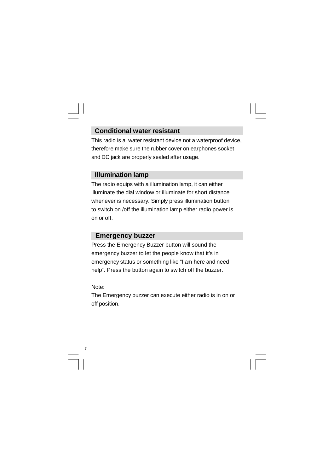# **Conditional water resistant**

This radio is a water resistant device not a waterproof device, therefore make sure the rubber cover on earphones socket and DC jack are properly sealed after usage.

## **Illumination lamp**

The radio equips with a illumination lamp, it can either illuminate the dial window or illuminate for short distance whenever is necessary. Simply press illumination button to switch on /off the illumination lamp either radio power is on or off.

# **Emergency buzzer**

Press the Emergency Buzzer button will sound the emergency buzzer to let the people know that it's in emergency status or something like "I am here and need help". Press the button again to switch off the buzzer.

Note:

*5*

The Emergency buzzer can execute either radio is in on or off position.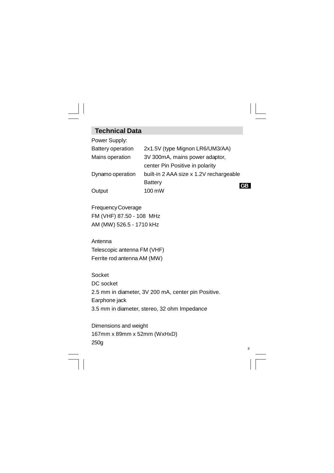# **Technical Data**

| Power Supply:            |                                         |  |
|--------------------------|-----------------------------------------|--|
| <b>Battery operation</b> | 2x1.5V (type Mignon LR6/UM3/AA)         |  |
| Mains operation          | 3V 300mA, mains power adaptor,          |  |
|                          | center Pin Positive in polarity         |  |
| Dynamo operation         | built-in 2 AAA size x 1.2V rechargeable |  |
|                          | <b>Battery</b>                          |  |
| Output                   | 100 mW                                  |  |

FrequencyCoverage FM (VHF) 87.50 - 108 MHz AM (MW) 526.5 - 1710 kHz

Antenna Telescopic antenna FM (VHF) Ferrite rod antenna AM (MW)

Socket DC socket 2.5 mm in diameter, 3V 200 mA, center pin Positive. Earphone jack 3.5 mm in diameter, stereo, 32 ohm Impedance

*6*

Dimensions and weight 167mm x 89mm x 52mm (WxHxD) 250g